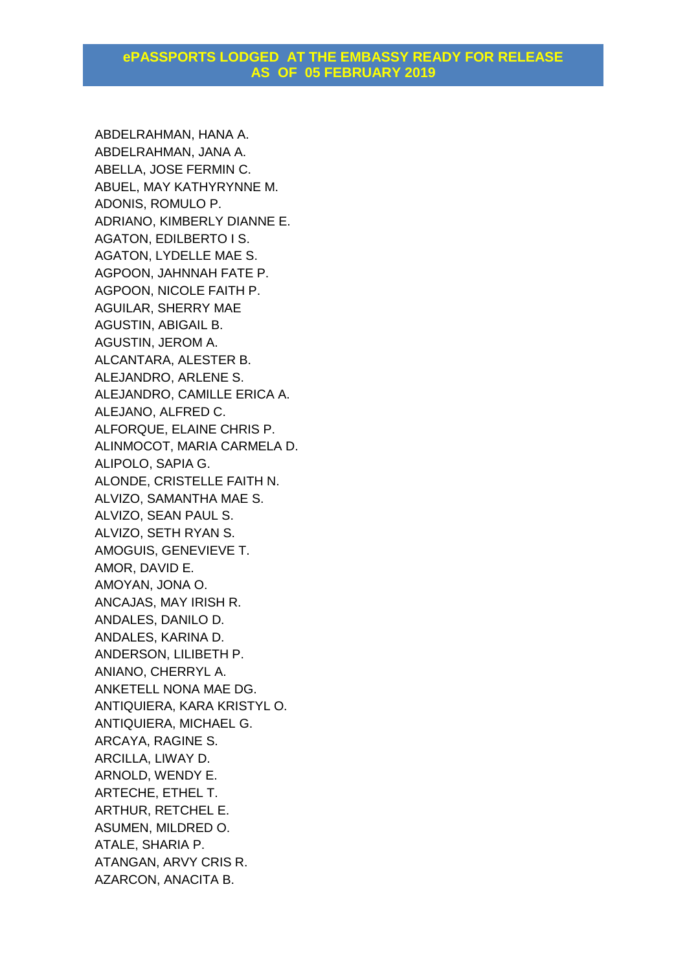ABDELRAHMAN, HANA A. ABDELRAHMAN, JANA A. ABELLA, JOSE FERMIN C. ABUEL, MAY KATHYRYNNE M. ADONIS, ROMULO P. ADRIANO, KIMBERLY DIANNE E. AGATON, EDILBERTO I S. AGATON, LYDELLE MAE S. AGPOON, JAHNNAH FATE P. AGPOON, NICOLE FAITH P. AGUILAR, SHERRY MAE AGUSTIN, ABIGAIL B. AGUSTIN, JEROM A. ALCANTARA, ALESTER B. ALEJANDRO, ARLENE S. ALEJANDRO, CAMILLE ERICA A. ALEJANO, ALFRED C. ALFORQUE, ELAINE CHRIS P. ALINMOCOT, MARIA CARMELA D. ALIPOLO, SAPIA G. ALONDE, CRISTELLE FAITH N. ALVIZO, SAMANTHA MAE S. ALVIZO, SEAN PAUL S. ALVIZO, SETH RYAN S. AMOGUIS, GENEVIEVE T. AMOR, DAVID E. AMOYAN, JONA O. ANCAJAS, MAY IRISH R. ANDALES, DANILO D. ANDALES, KARINA D. ANDERSON, LILIBETH P. ANIANO, CHERRYL A. ANKETELL NONA MAE DG. ANTIQUIERA, KARA KRISTYL O. ANTIQUIERA, MICHAEL G. ARCAYA, RAGINE S. ARCILLA, LIWAY D. ARNOLD, WENDY E. ARTECHE, ETHEL T. ARTHUR, RETCHEL E. ASUMEN, MILDRED O. ATALE, SHARIA P. ATANGAN, ARVY CRIS R. AZARCON, ANACITA B.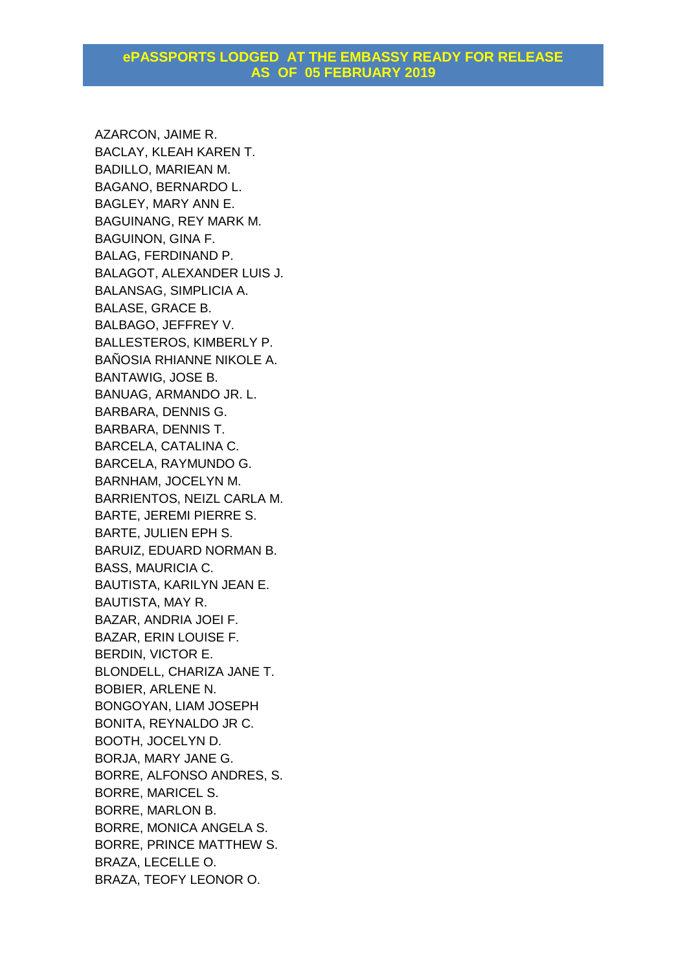AZARCON, JAIME R. BACLAY, KLEAH KAREN T. BADILLO, MARIEAN M. BAGANO, BERNARDO L. BAGLEY, MARY ANN E. BAGUINANG, REY MARK M. BAGUINON, GINA F. BALAG, FERDINAND P. BALAGOT, ALEXANDER LUIS J. BALANSAG, SIMPLICIA A. BALASE, GRACE B. BALBAGO, JEFFREY V. BALLESTEROS, KIMBERLY P. BAÑOSIA RHIANNE NIKOLE A. BANTAWIG, JOSE B. BANUAG, ARMANDO JR. L. BARBARA, DENNIS G. BARBARA, DENNIS T. BARCELA, CATALINA C. BARCELA, RAYMUNDO G. BARNHAM, JOCELYN M. BARRIENTOS, NEIZL CARLA M. BARTE, JEREMI PIERRE S. BARTE, JULIEN EPH S. BARUIZ, EDUARD NORMAN B. BASS, MAURICIA C. BAUTISTA, KARILYN JEAN E. BAUTISTA, MAY R. BAZAR, ANDRIA JOEI F. BAZAR, ERIN LOUISE F. BERDIN, VICTOR E. BLONDELL, CHARIZA JANE T. BOBIER, ARLENE N. BONGOYAN, LIAM JOSEPH BONITA, REYNALDO JR C. BOOTH, JOCELYN D. BORJA, MARY JANE G. BORRE, ALFONSO ANDRES, S. BORRE, MARICEL S. BORRE, MARLON B. BORRE, MONICA ANGELA S. BORRE, PRINCE MATTHEW S. BRAZA, LECELLE O. BRAZA, TEOFY LEONOR O.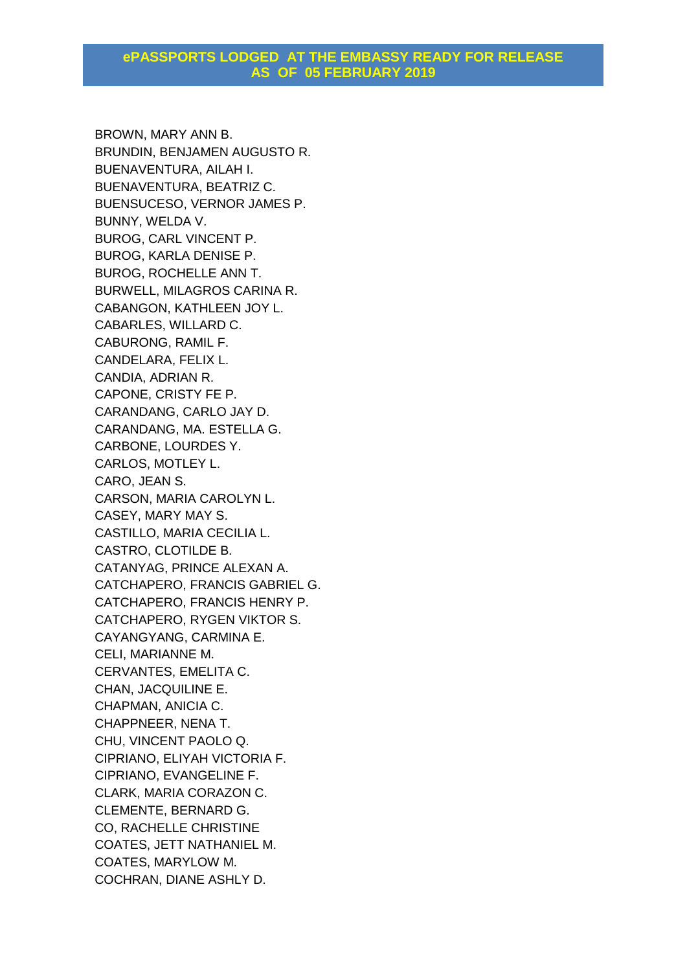BROWN, MARY ANN B. BRUNDIN, BENJAMEN AUGUSTO R. BUENAVENTURA, AILAH I. BUENAVENTURA, BEATRIZ C. BUENSUCESO, VERNOR JAMES P. BUNNY, WELDA V. BUROG, CARL VINCENT P. BUROG, KARLA DENISE P. BUROG, ROCHELLE ANN T. BURWELL, MILAGROS CARINA R. CABANGON, KATHLEEN JOY L. CABARLES, WILLARD C. CABURONG, RAMIL F. CANDELARA, FELIX L. CANDIA, ADRIAN R. CAPONE, CRISTY FE P. CARANDANG, CARLO JAY D. CARANDANG, MA. ESTELLA G. CARBONE, LOURDES Y. CARLOS, MOTLEY L. CARO, JEAN S. CARSON, MARIA CAROLYN L. CASEY, MARY MAY S. CASTILLO, MARIA CECILIA L. CASTRO, CLOTILDE B. CATANYAG, PRINCE ALEXAN A. CATCHAPERO, FRANCIS GABRIEL G. CATCHAPERO, FRANCIS HENRY P. CATCHAPERO, RYGEN VIKTOR S. CAYANGYANG, CARMINA E. CELI, MARIANNE M. CERVANTES, EMELITA C. CHAN, JACQUILINE E. CHAPMAN, ANICIA C. CHAPPNEER, NENA T. CHU, VINCENT PAOLO Q. CIPRIANO, ELIYAH VICTORIA F. CIPRIANO, EVANGELINE F. CLARK, MARIA CORAZON C. CLEMENTE, BERNARD G. CO, RACHELLE CHRISTINE COATES, JETT NATHANIEL M. COATES, MARYLOW M. COCHRAN, DIANE ASHLY D.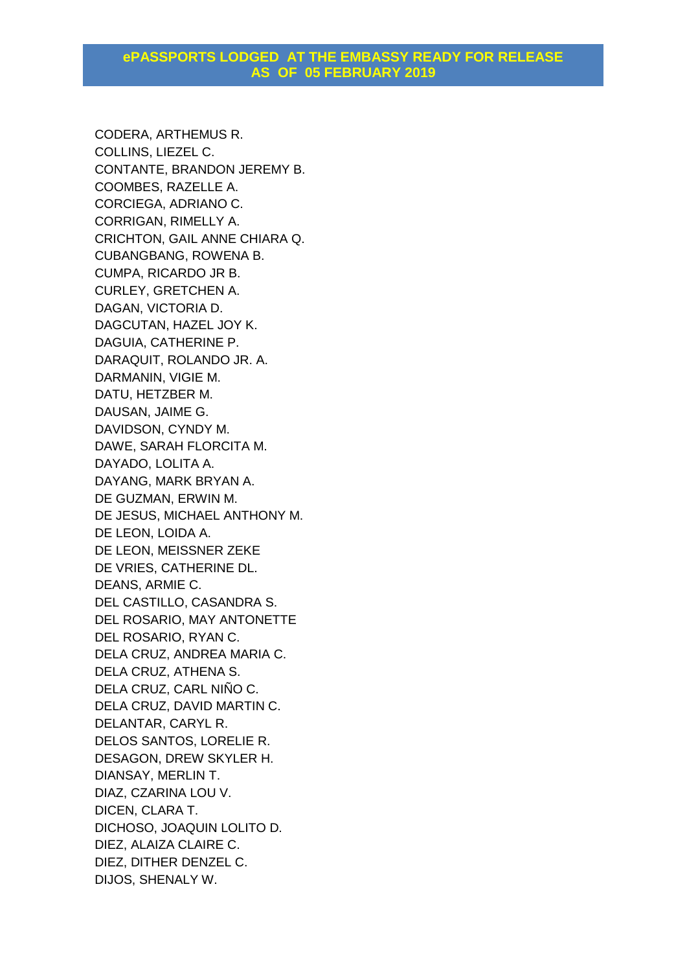CODERA, ARTHEMUS R. COLLINS, LIEZEL C. CONTANTE, BRANDON JEREMY B. COOMBES, RAZELLE A. CORCIEGA, ADRIANO C. CORRIGAN, RIMELLY A. CRICHTON, GAIL ANNE CHIARA Q. CUBANGBANG, ROWENA B. CUMPA, RICARDO JR B. CURLEY, GRETCHEN A. DAGAN, VICTORIA D. DAGCUTAN, HAZEL JOY K. DAGUIA, CATHERINE P. DARAQUIT, ROLANDO JR. A. DARMANIN, VIGIE M. DATU, HETZBER M. DAUSAN, JAIME G. DAVIDSON, CYNDY M. DAWE, SARAH FLORCITA M. DAYADO, LOLITA A. DAYANG, MARK BRYAN A. DE GUZMAN, ERWIN M. DE JESUS, MICHAEL ANTHONY M. DE LEON, LOIDA A. DE LEON, MEISSNER ZEKE DE VRIES, CATHERINE DL. DEANS, ARMIE C. DEL CASTILLO, CASANDRA S. DEL ROSARIO, MAY ANTONETTE DEL ROSARIO, RYAN C. DELA CRUZ, ANDREA MARIA C. DELA CRUZ, ATHENA S. DELA CRUZ, CARL NIÑO C. DELA CRUZ, DAVID MARTIN C. DELANTAR, CARYL R. DELOS SANTOS, LORELIE R. DESAGON, DREW SKYLER H. DIANSAY, MERLIN T. DIAZ, CZARINA LOU V. DICEN, CLARA T. DICHOSO, JOAQUIN LOLITO D. DIEZ, ALAIZA CLAIRE C. DIEZ, DITHER DENZEL C. DIJOS, SHENALY W.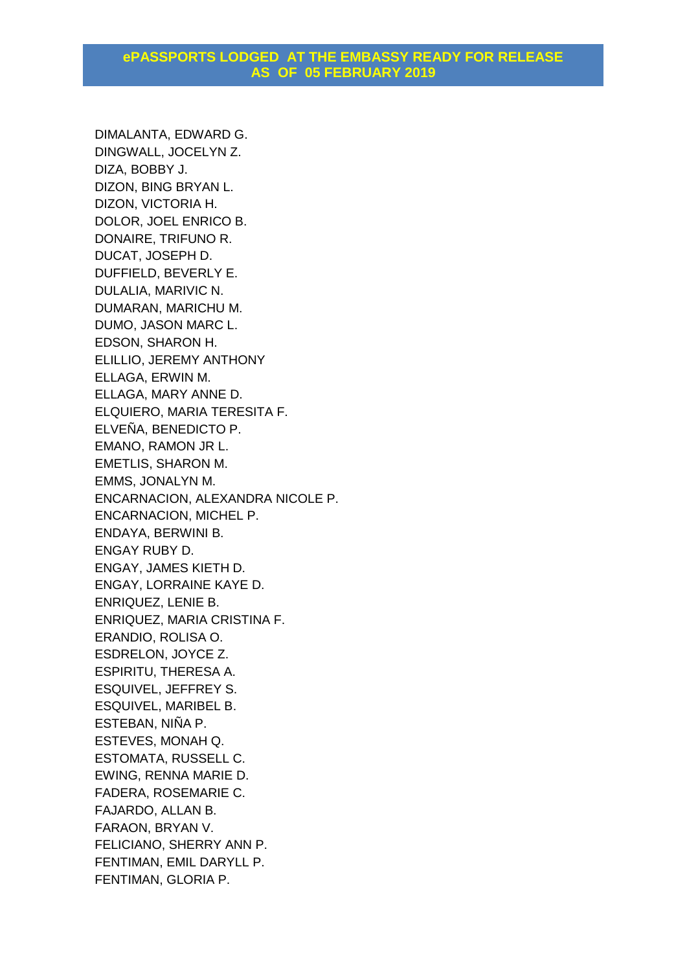DIMALANTA, EDWARD G. DINGWALL, JOCELYN Z. DIZA, BOBBY J. DIZON, BING BRYAN L. DIZON, VICTORIA H. DOLOR, JOEL ENRICO B. DONAIRE, TRIFUNO R. DUCAT, JOSEPH D. DUFFIELD, BEVERLY E. DULALIA, MARIVIC N. DUMARAN, MARICHU M. DUMO, JASON MARC L. EDSON, SHARON H. ELILLIO, JEREMY ANTHONY ELLAGA, ERWIN M. ELLAGA, MARY ANNE D. ELQUIERO, MARIA TERESITA F. ELVEÑA, BENEDICTO P. EMANO, RAMON JR L. EMETLIS, SHARON M. EMMS, JONALYN M. ENCARNACION, ALEXANDRA NICOLE P. ENCARNACION, MICHEL P. ENDAYA, BERWINI B. ENGAY RUBY D. ENGAY, JAMES KIETH D. ENGAY, LORRAINE KAYE D. ENRIQUEZ, LENIE B. ENRIQUEZ, MARIA CRISTINA F. ERANDIO, ROLISA O. ESDRELON, JOYCE Z. ESPIRITU, THERESA A. ESQUIVEL, JEFFREY S. ESQUIVEL, MARIBEL B. ESTEBAN, NIÑA P. ESTEVES, MONAH Q. ESTOMATA, RUSSELL C. EWING, RENNA MARIE D. FADERA, ROSEMARIE C. FAJARDO, ALLAN B. FARAON, BRYAN V. FELICIANO, SHERRY ANN P. FENTIMAN, EMIL DARYLL P. FENTIMAN, GLORIA P.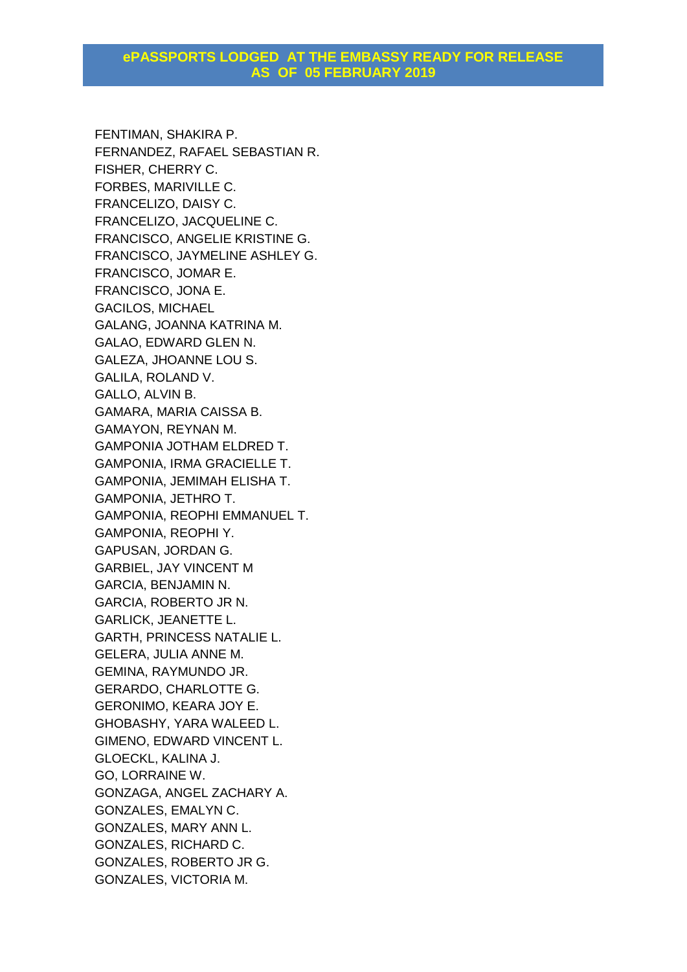FENTIMAN, SHAKIRA P. FERNANDEZ, RAFAEL SEBASTIAN R. FISHER, CHERRY C. FORBES, MARIVILLE C. FRANCELIZO, DAISY C. FRANCELIZO, JACQUELINE C. FRANCISCO, ANGELIE KRISTINE G. FRANCISCO, JAYMELINE ASHLEY G. FRANCISCO, JOMAR E. FRANCISCO, JONA E. GACILOS, MICHAEL GALANG, JOANNA KATRINA M. GALAO, EDWARD GLEN N. GALEZA, JHOANNE LOU S. GALILA, ROLAND V. GALLO, ALVIN B. GAMARA, MARIA CAISSA B. GAMAYON, REYNAN M. GAMPONIA JOTHAM ELDRED T. GAMPONIA, IRMA GRACIELLE T. GAMPONIA, JEMIMAH ELISHA T. GAMPONIA, JETHRO T. GAMPONIA, REOPHI EMMANUEL T. GAMPONIA, REOPHI Y. GAPUSAN, JORDAN G. GARBIEL, JAY VINCENT M GARCIA, BENJAMIN N. GARCIA, ROBERTO JR N. GARLICK, JEANETTE L. GARTH, PRINCESS NATALIE L. GELERA, JULIA ANNE M. GEMINA, RAYMUNDO JR. GERARDO, CHARLOTTE G. GERONIMO, KEARA JOY E. GHOBASHY, YARA WALEED L. GIMENO, EDWARD VINCENT L. GLOECKL, KALINA J. GO, LORRAINE W. GONZAGA, ANGEL ZACHARY A. GONZALES, EMALYN C. GONZALES, MARY ANN L. GONZALES, RICHARD C. GONZALES, ROBERTO JR G. GONZALES, VICTORIA M.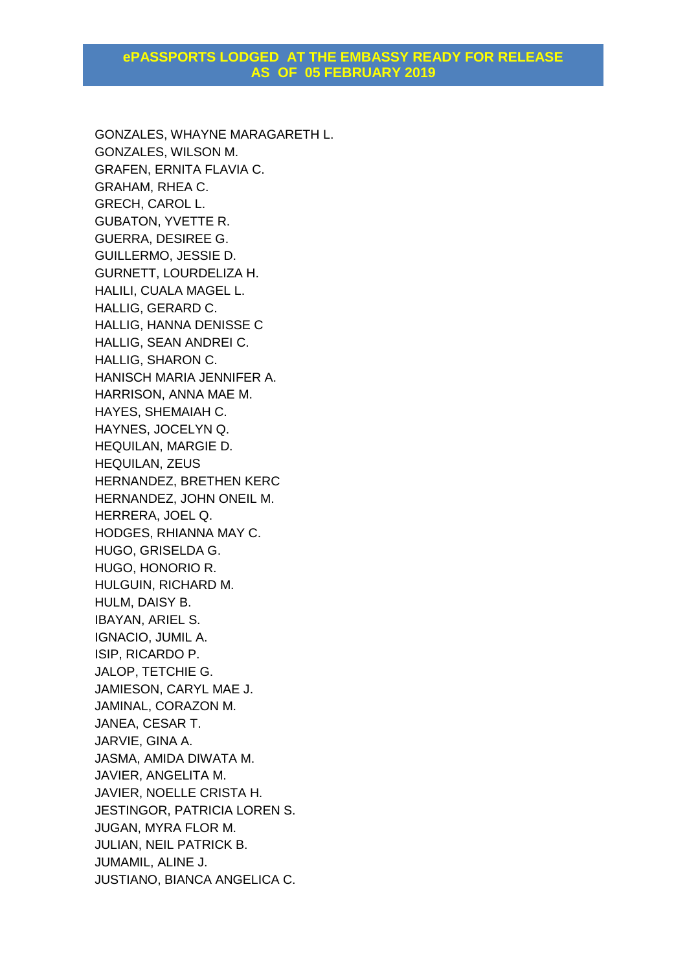GONZALES, WHAYNE MARAGARETH L. GONZALES, WILSON M. GRAFEN, ERNITA FLAVIA C. GRAHAM, RHEA C. GRECH, CAROL L. GUBATON, YVETTE R. GUERRA, DESIREE G. GUILLERMO, JESSIE D. GURNETT, LOURDELIZA H. HALILI, CUALA MAGEL L. HALLIG, GERARD C. HALLIG, HANNA DENISSE C HALLIG, SEAN ANDREI C. HALLIG, SHARON C. HANISCH MARIA JENNIFER A. HARRISON, ANNA MAE M. HAYES, SHEMAIAH C. HAYNES, JOCELYN Q. HEQUILAN, MARGIE D. HEQUILAN, ZEUS HERNANDEZ, BRETHEN KERC HERNANDEZ, JOHN ONEIL M. HERRERA, JOEL Q. HODGES, RHIANNA MAY C. HUGO, GRISELDA G. HUGO, HONORIO R. HULGUIN, RICHARD M. HULM, DAISY B. IBAYAN, ARIEL S. IGNACIO, JUMIL A. ISIP, RICARDO P. JALOP, TETCHIE G. JAMIESON, CARYL MAE J. JAMINAL, CORAZON M. JANEA, CESAR T. JARVIE, GINA A. JASMA, AMIDA DIWATA M. JAVIER, ANGELITA M. JAVIER, NOELLE CRISTA H. JESTINGOR, PATRICIA LOREN S. JUGAN, MYRA FLOR M. JULIAN, NEIL PATRICK B. JUMAMIL, ALINE J. JUSTIANO, BIANCA ANGELICA C.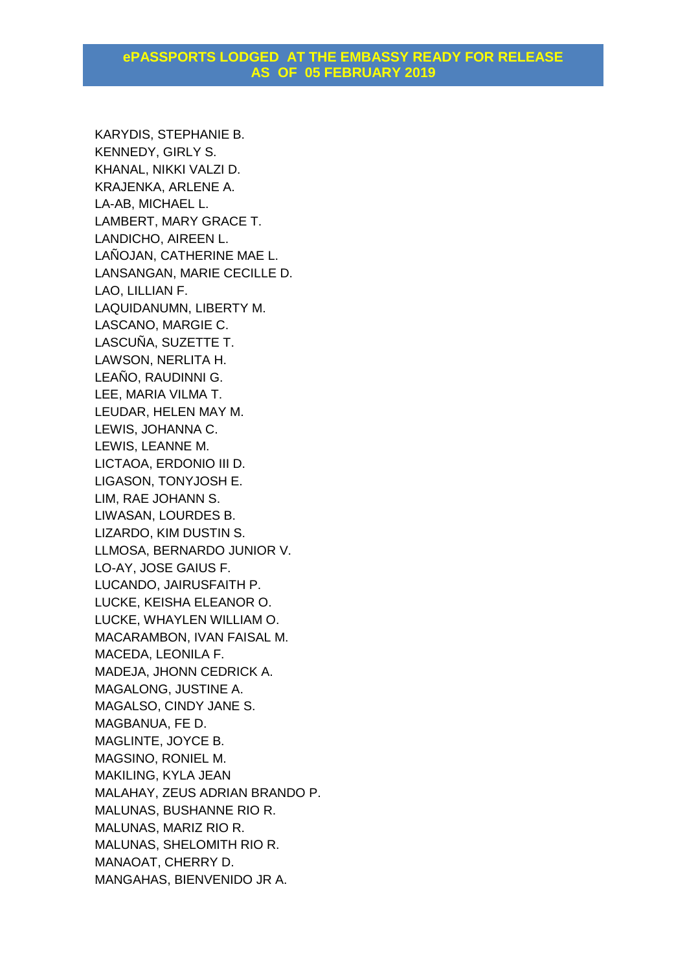KARYDIS, STEPHANIE B. KENNEDY, GIRLY S. KHANAL, NIKKI VALZI D. KRAJENKA, ARLENE A. LA-AB, MICHAEL L. LAMBERT, MARY GRACE T. LANDICHO, AIREEN L. LAÑOJAN, CATHERINE MAE L. LANSANGAN, MARIE CECILLE D. LAO, LILLIAN F. LAQUIDANUMN, LIBERTY M. LASCANO, MARGIE C. LASCUÑA, SUZETTE T. LAWSON, NERLITA H. LEAÑO, RAUDINNI G. LEE, MARIA VILMA T. LEUDAR, HELEN MAY M. LEWIS, JOHANNA C. LEWIS, LEANNE M. LICTAOA, ERDONIO III D. LIGASON, TONYJOSH E. LIM, RAE JOHANN S. LIWASAN, LOURDES B. LIZARDO, KIM DUSTIN S. LLMOSA, BERNARDO JUNIOR V. LO-AY, JOSE GAIUS F. LUCANDO, JAIRUSFAITH P. LUCKE, KEISHA ELEANOR O. LUCKE, WHAYLEN WILLIAM O. MACARAMBON, IVAN FAISAL M. MACEDA, LEONILA F. MADEJA, JHONN CEDRICK A. MAGALONG, JUSTINE A. MAGALSO, CINDY JANE S. MAGBANUA, FE D. MAGLINTE, JOYCE B. MAGSINO, RONIEL M. MAKILING, KYLA JEAN MALAHAY, ZEUS ADRIAN BRANDO P. MALUNAS, BUSHANNE RIO R. MALUNAS, MARIZ RIO R. MALUNAS, SHELOMITH RIO R. MANAOAT, CHERRY D. MANGAHAS, BIENVENIDO JR A.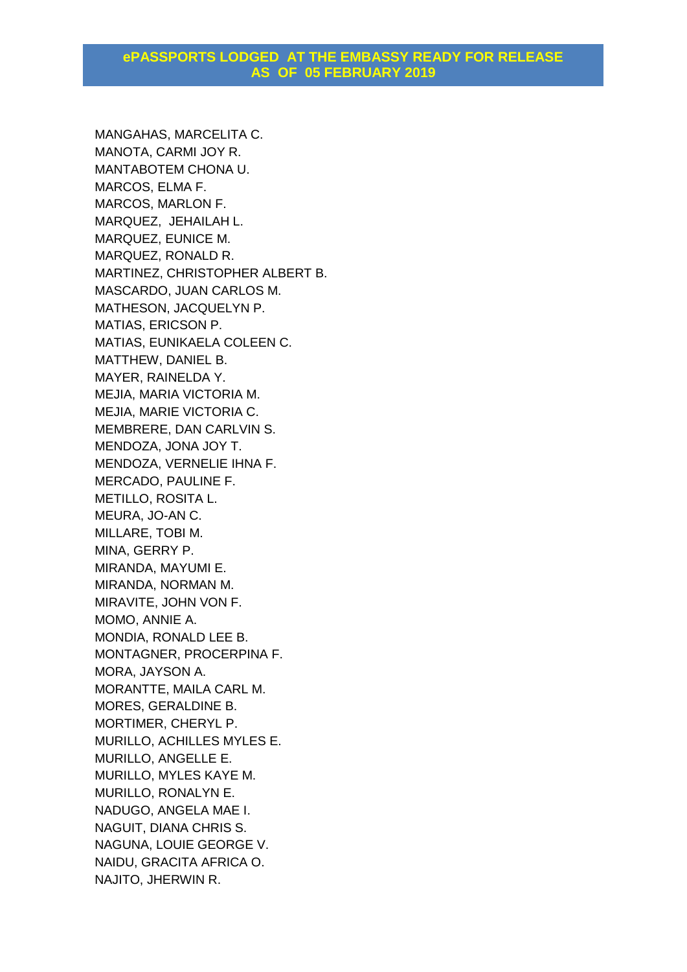MANGAHAS, MARCELITA C. MANOTA, CARMI JOY R. MANTABOTEM CHONA U. MARCOS, ELMA F. MARCOS, MARLON F. MARQUEZ, JEHAILAH L. MARQUEZ, EUNICE M. MARQUEZ, RONALD R. MARTINEZ, CHRISTOPHER ALBERT B. MASCARDO, JUAN CARLOS M. MATHESON, JACQUELYN P. MATIAS, ERICSON P. MATIAS, EUNIKAELA COLEEN C. MATTHEW, DANIEL B. MAYER, RAINELDA Y. MEJIA, MARIA VICTORIA M. MEJIA, MARIE VICTORIA C. MEMBRERE, DAN CARLVIN S. MENDOZA, JONA JOY T. MENDOZA, VERNELIE IHNA F. MERCADO, PAULINE F. METILLO, ROSITA L. MEURA, JO-AN C. MILLARE, TOBI M. MINA, GERRY P. MIRANDA, MAYUMI E. MIRANDA, NORMAN M. MIRAVITE, JOHN VON F. MOMO, ANNIE A. MONDIA, RONALD LEE B. MONTAGNER, PROCERPINA F. MORA, JAYSON A. MORANTTE, MAILA CARL M. MORES, GERALDINE B. MORTIMER, CHERYL P. MURILLO, ACHILLES MYLES E. MURILLO, ANGELLE E. MURILLO, MYLES KAYE M. MURILLO, RONALYN E. NADUGO, ANGELA MAE I. NAGUIT, DIANA CHRIS S. NAGUNA, LOUIE GEORGE V. NAIDU, GRACITA AFRICA O. NAJITO, JHERWIN R.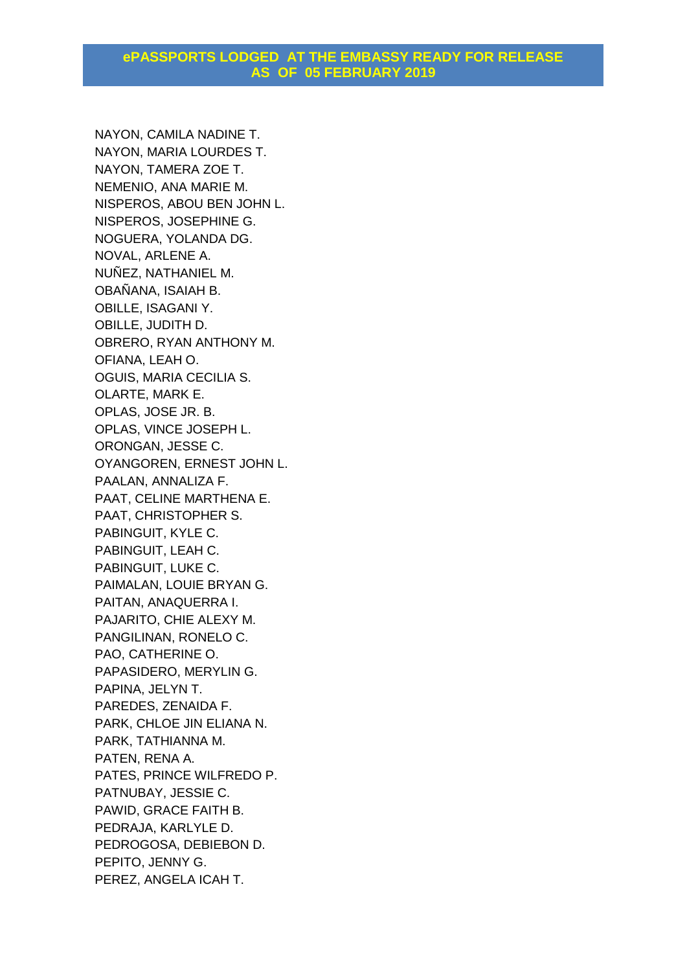NAYON, CAMILA NADINE T. NAYON, MARIA LOURDES T. NAYON, TAMERA ZOE T. NEMENIO, ANA MARIE M. NISPEROS, ABOU BEN JOHN L. NISPEROS, JOSEPHINE G. NOGUERA, YOLANDA DG. NOVAL, ARLENE A. NUÑEZ, NATHANIEL M. OBAÑANA, ISAIAH B. OBILLE, ISAGANI Y. OBILLE, JUDITH D. OBRERO, RYAN ANTHONY M. OFIANA, LEAH O. OGUIS, MARIA CECILIA S. OLARTE, MARK E. OPLAS, JOSE JR. B. OPLAS, VINCE JOSEPH L. ORONGAN, JESSE C. OYANGOREN, ERNEST JOHN L. PAALAN, ANNALIZA F. PAAT, CELINE MARTHENA E. PAAT, CHRISTOPHER S. PABINGUIT, KYLE C. PABINGUIT, LEAH C. PABINGUIT, LUKE C. PAIMALAN, LOUIE BRYAN G. PAITAN, ANAQUERRA I. PAJARITO, CHIE ALEXY M. PANGILINAN, RONELO C. PAO, CATHERINE O. PAPASIDERO, MERYLIN G. PAPINA, JELYN T. PAREDES, ZENAIDA F. PARK, CHLOE JIN ELIANA N. PARK, TATHIANNA M. PATEN, RENA A. PATES, PRINCE WILFREDO P. PATNUBAY, JESSIE C. PAWID, GRACE FAITH B. PEDRAJA, KARLYLE D. PEDROGOSA, DEBIEBON D. PEPITO, JENNY G. PEREZ, ANGELA ICAH T.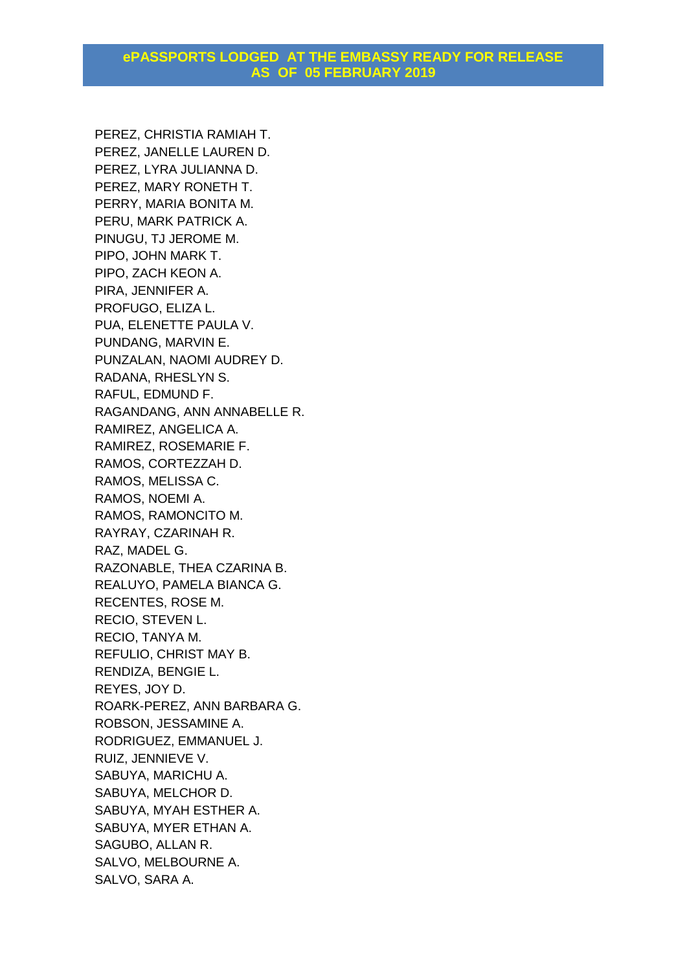PEREZ, CHRISTIA RAMIAH T. PEREZ, JANELLE LAUREN D. PEREZ, LYRA JULIANNA D. PEREZ, MARY RONETH T. PERRY, MARIA BONITA M. PERU, MARK PATRICK A. PINUGU, TJ JEROME M. PIPO, JOHN MARK T. PIPO, ZACH KEON A. PIRA, JENNIFER A. PROFUGO, ELIZA L. PUA, ELENETTE PAULA V. PUNDANG, MARVIN E. PUNZALAN, NAOMI AUDREY D. RADANA, RHESLYN S. RAFUL, EDMUND F. RAGANDANG, ANN ANNABELLE R. RAMIREZ, ANGELICA A. RAMIREZ, ROSEMARIE F. RAMOS, CORTEZZAH D. RAMOS, MELISSA C. RAMOS, NOEMI A. RAMOS, RAMONCITO M. RAYRAY, CZARINAH R. RAZ, MADEL G. RAZONABLE, THEA CZARINA B. REALUYO, PAMELA BIANCA G. RECENTES, ROSE M. RECIO, STEVEN L. RECIO, TANYA M. REFULIO, CHRIST MAY B. RENDIZA, BENGIE L. REYES, JOY D. ROARK-PEREZ, ANN BARBARA G. ROBSON, JESSAMINE A. RODRIGUEZ, EMMANUEL J. RUIZ, JENNIEVE V. SABUYA, MARICHU A. SABUYA, MELCHOR D. SABUYA, MYAH ESTHER A. SABUYA, MYER ETHAN A. SAGUBO, ALLAN R. SALVO, MELBOURNE A. SALVO, SARA A.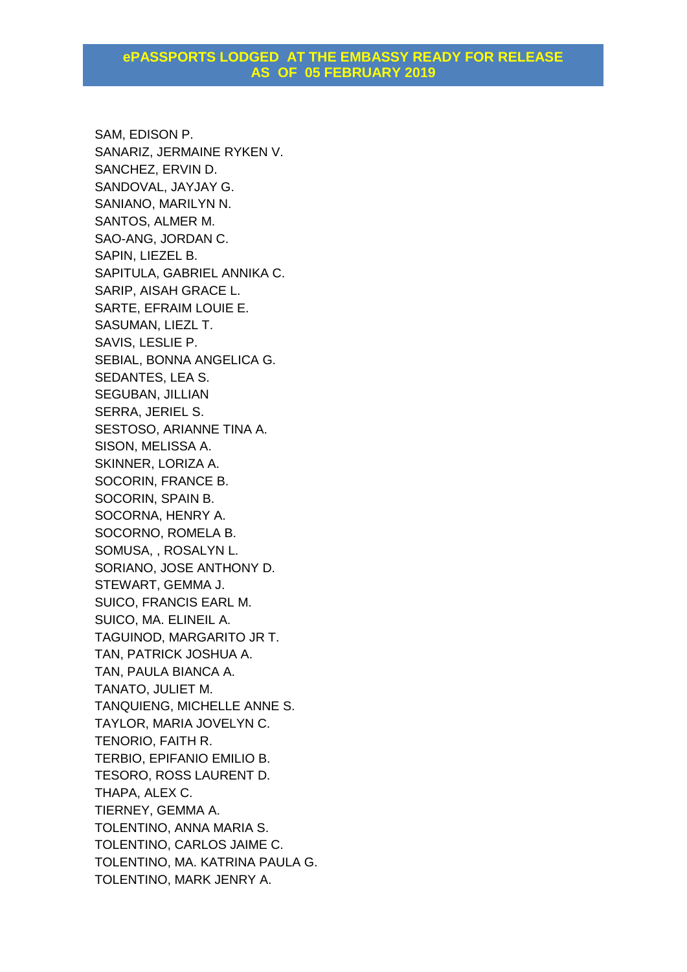SAM, EDISON P. SANARIZ, JERMAINE RYKEN V. SANCHEZ, ERVIN D. SANDOVAL, JAYJAY G. SANIANO, MARILYN N. SANTOS, ALMER M. SAO-ANG, JORDAN C. SAPIN, LIEZEL B. SAPITULA, GABRIEL ANNIKA C. SARIP, AISAH GRACE L. SARTE, EFRAIM LOUIE E. SASUMAN, LIEZL T. SAVIS, LESLIE P. SEBIAL, BONNA ANGELICA G. SEDANTES, LEA S. SEGUBAN, JILLIAN SERRA, JERIEL S. SESTOSO, ARIANNE TINA A. SISON, MELISSA A. SKINNER, LORIZA A. SOCORIN, FRANCE B. SOCORIN, SPAIN B. SOCORNA, HENRY A. SOCORNO, ROMELA B. SOMUSA, , ROSALYN L. SORIANO, JOSE ANTHONY D. STEWART, GEMMA J. SUICO, FRANCIS EARL M. SUICO, MA. ELINEIL A. TAGUINOD, MARGARITO JR T. TAN, PATRICK JOSHUA A. TAN, PAULA BIANCA A. TANATO, JULIET M. TANQUIENG, MICHELLE ANNE S. TAYLOR, MARIA JOVELYN C. TENORIO, FAITH R. TERBIO, EPIFANIO EMILIO B. TESORO, ROSS LAURENT D. THAPA, ALEX C. TIERNEY, GEMMA A. TOLENTINO, ANNA MARIA S. TOLENTINO, CARLOS JAIME C. TOLENTINO, MA. KATRINA PAULA G. TOLENTINO, MARK JENRY A.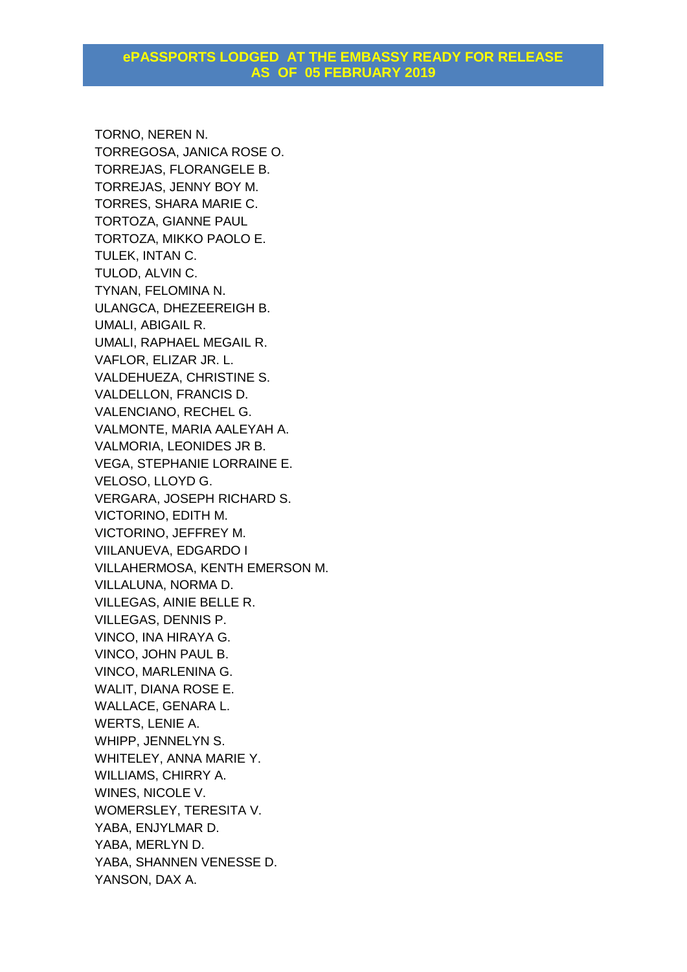TORNO, NEREN N. TORREGOSA, JANICA ROSE O. TORREJAS, FLORANGELE B. TORREJAS, JENNY BOY M. TORRES, SHARA MARIE C. TORTOZA, GIANNE PAUL TORTOZA, MIKKO PAOLO E. TULEK, INTAN C. TULOD, ALVIN C. TYNAN, FELOMINA N. ULANGCA, DHEZEEREIGH B. UMALI, ABIGAIL R. UMALI, RAPHAEL MEGAIL R. VAFLOR, ELIZAR JR. L. VALDEHUEZA, CHRISTINE S. VALDELLON, FRANCIS D. VALENCIANO, RECHEL G. VALMONTE, MARIA AALEYAH A. VALMORIA, LEONIDES JR B. VEGA, STEPHANIE LORRAINE E. VELOSO, LLOYD G. VERGARA, JOSEPH RICHARD S. VICTORINO, EDITH M. VICTORINO, JEFFREY M. VIILANUEVA, EDGARDO I VILLAHERMOSA, KENTH EMERSON M. VILLALUNA, NORMA D. VILLEGAS, AINIE BELLE R. VILLEGAS, DENNIS P. VINCO, INA HIRAYA G. VINCO, JOHN PAUL B. VINCO, MARLENINA G. WALIT, DIANA ROSE E. WALLACE, GENARA L. WERTS, LENIE A. WHIPP, JENNELYN S. WHITELEY, ANNA MARIE Y. WILLIAMS, CHIRRY A. WINES, NICOLE V. WOMERSLEY, TERESITA V. YABA, ENJYLMAR D. YABA, MERLYN D. YABA, SHANNEN VENESSE D. YANSON, DAX A.